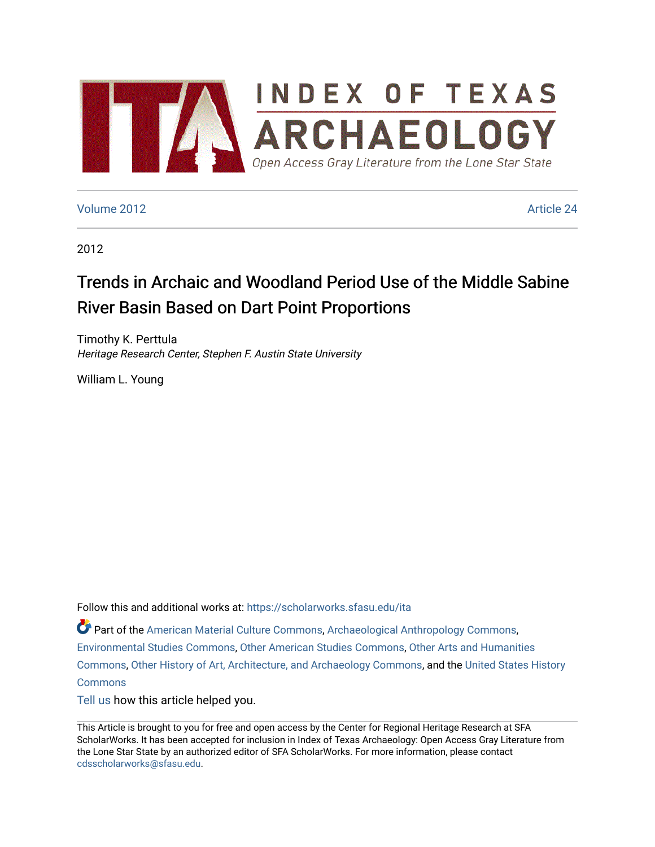

### [Volume 2012](https://scholarworks.sfasu.edu/ita/vol2012) [Article 24](https://scholarworks.sfasu.edu/ita/vol2012/iss1/24)

2012

# Trends in Archaic and Woodland Period Use of the Middle Sabine River Basin Based on Dart Point Proportions

Timothy K. Perttula Heritage Research Center, Stephen F. Austin State University

William L. Young

Follow this and additional works at: [https://scholarworks.sfasu.edu/ita](https://scholarworks.sfasu.edu/ita?utm_source=scholarworks.sfasu.edu%2Fita%2Fvol2012%2Fiss1%2F24&utm_medium=PDF&utm_campaign=PDFCoverPages) 

Part of the [American Material Culture Commons,](http://network.bepress.com/hgg/discipline/442?utm_source=scholarworks.sfasu.edu%2Fita%2Fvol2012%2Fiss1%2F24&utm_medium=PDF&utm_campaign=PDFCoverPages) [Archaeological Anthropology Commons,](http://network.bepress.com/hgg/discipline/319?utm_source=scholarworks.sfasu.edu%2Fita%2Fvol2012%2Fiss1%2F24&utm_medium=PDF&utm_campaign=PDFCoverPages) [Environmental Studies Commons,](http://network.bepress.com/hgg/discipline/1333?utm_source=scholarworks.sfasu.edu%2Fita%2Fvol2012%2Fiss1%2F24&utm_medium=PDF&utm_campaign=PDFCoverPages) [Other American Studies Commons](http://network.bepress.com/hgg/discipline/445?utm_source=scholarworks.sfasu.edu%2Fita%2Fvol2012%2Fiss1%2F24&utm_medium=PDF&utm_campaign=PDFCoverPages), [Other Arts and Humanities](http://network.bepress.com/hgg/discipline/577?utm_source=scholarworks.sfasu.edu%2Fita%2Fvol2012%2Fiss1%2F24&utm_medium=PDF&utm_campaign=PDFCoverPages) [Commons](http://network.bepress.com/hgg/discipline/577?utm_source=scholarworks.sfasu.edu%2Fita%2Fvol2012%2Fiss1%2F24&utm_medium=PDF&utm_campaign=PDFCoverPages), [Other History of Art, Architecture, and Archaeology Commons,](http://network.bepress.com/hgg/discipline/517?utm_source=scholarworks.sfasu.edu%2Fita%2Fvol2012%2Fiss1%2F24&utm_medium=PDF&utm_campaign=PDFCoverPages) and the [United States History](http://network.bepress.com/hgg/discipline/495?utm_source=scholarworks.sfasu.edu%2Fita%2Fvol2012%2Fiss1%2F24&utm_medium=PDF&utm_campaign=PDFCoverPages)  **[Commons](http://network.bepress.com/hgg/discipline/495?utm_source=scholarworks.sfasu.edu%2Fita%2Fvol2012%2Fiss1%2F24&utm_medium=PDF&utm_campaign=PDFCoverPages)** 

[Tell us](http://sfasu.qualtrics.com/SE/?SID=SV_0qS6tdXftDLradv) how this article helped you.

This Article is brought to you for free and open access by the Center for Regional Heritage Research at SFA ScholarWorks. It has been accepted for inclusion in Index of Texas Archaeology: Open Access Gray Literature from the Lone Star State by an authorized editor of SFA ScholarWorks. For more information, please contact [cdsscholarworks@sfasu.edu.](mailto:cdsscholarworks@sfasu.edu)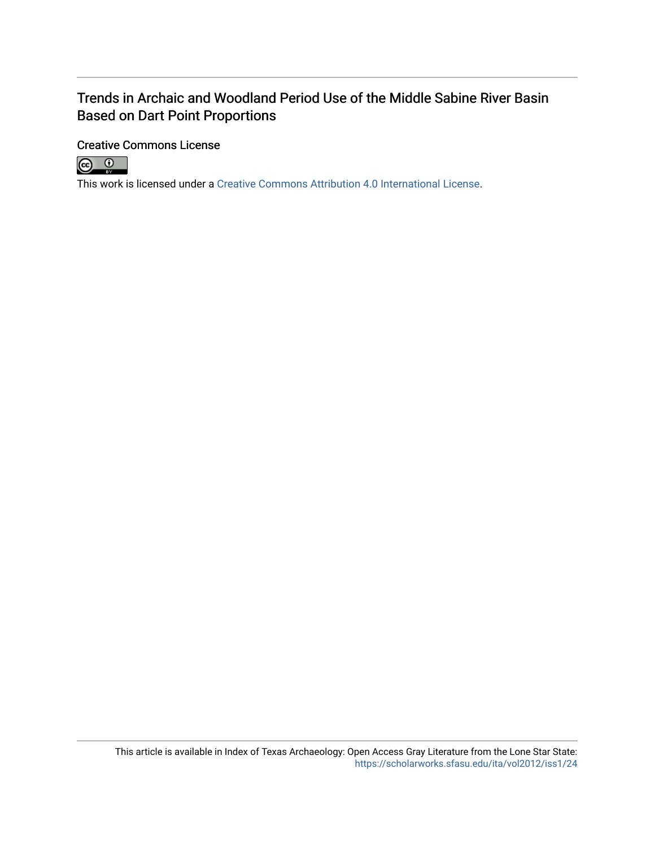# Trends in Archaic and Woodland Period Use of the Middle Sabine River Basin Based on Dart Point Proportions

## Creative Commons License



This work is licensed under a [Creative Commons Attribution 4.0 International License.](https://creativecommons.org/licenses/by/4.0/)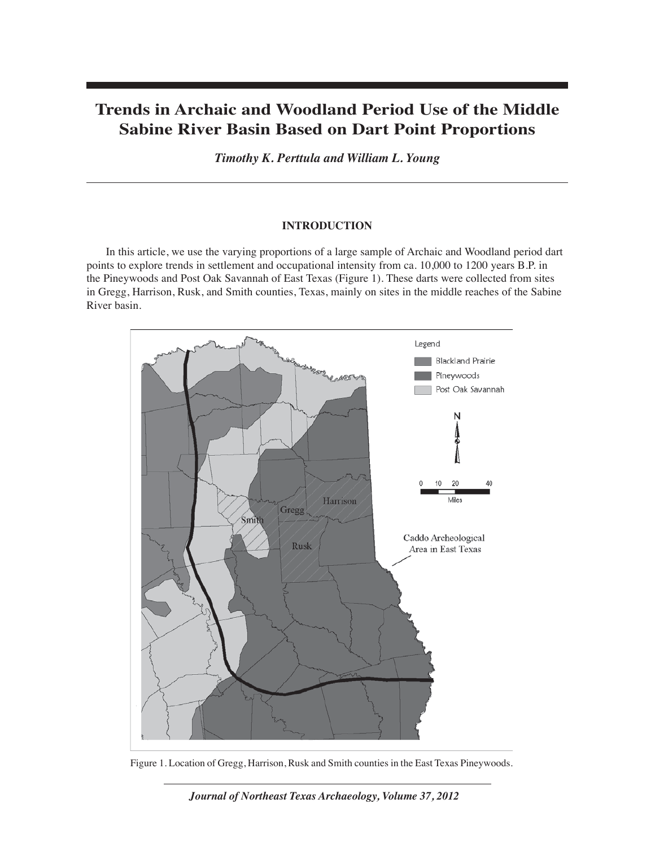# **Trends in Archaic and Woodland Period Use of the Middle Sabine River Basin Based on Dart Point Proportions**

*Timothy K. Perttula and William L. Young*

### **INTRODUCTION**

In this article, we use the varying proportions of a large sample of Archaic and Woodland period dart points to explore trends in settlement and occupational intensity from ca. 10,000 to 1200 years B.P. in the Pineywoods and Post Oak Savannah of East Texas (Figure 1). These darts were collected from sites in Gregg, Harrison, Rusk, and Smith counties, Texas, mainly on sites in the middle reaches of the Sabine River basin.



Figure 1. Location of Gregg, Harrison, Rusk and Smith counties in the East Texas Pineywoods.

*Journal of Northeast Texas Archaeology, Volume 37, 2012*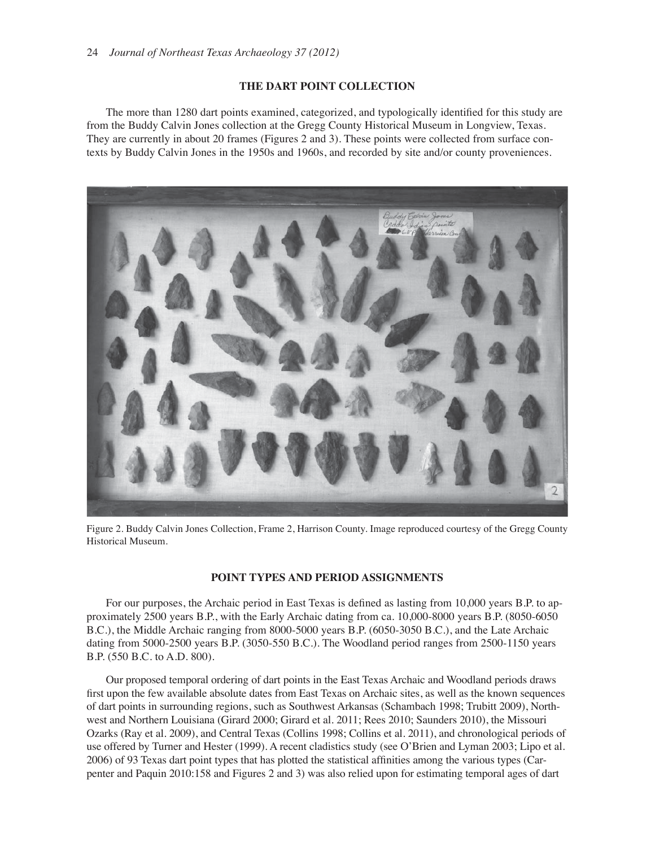#### **THE DART POINT COLLECTION**

The more than 1280 dart points examined, categorized, and typologically identified for this study are from the Buddy Calvin Jones collection at the Gregg County Historical Museum in Longview, Texas. They are currently in about 20 frames (Figures 2 and 3). These points were collected from surface contexts by Buddy Calvin Jones in the 1950s and 1960s, and recorded by site and/or county proveniences.



Figure 2. Buddy Calvin Jones Collection, Frame 2, Harrison County. Image reproduced courtesy of the Gregg County Historical Museum.

#### **POINT TYPES AND PERIOD ASSIGNMENTS**

For our purposes, the Archaic period in East Texas is defined as lasting from 10,000 years B.P. to approximately 2500 years B.P., with the Early Archaic dating from ca. 10,000-8000 years B.P. (8050-6050 B.C.), the Middle Archaic ranging from 8000-5000 years B.P. (6050-3050 B.C.), and the Late Archaic dating from 5000-2500 years B.P. (3050-550 B.C.). The Woodland period ranges from 2500-1150 years B.P. (550 B.C. to A.D. 800).

Our proposed temporal ordering of dart points in the East Texas Archaic and Woodland periods draws first upon the few available absolute dates from East Texas on Archaic sites, as well as the known sequences of dart points in surrounding regions, such as Southwest Arkansas (Schambach 1998; Trubitt 2009), Northwest and Northern Louisiana (Girard 2000; Girard et al. 2011; Rees 2010; Saunders 2010), the Missouri Ozarks (Ray et al. 2009), and Central Texas (Collins 1998; Collins et al. 2011), and chronological periods of use offered by Turner and Hester (1999). A recent cladistics study (see O'Brien and Lyman 2003; Lipo et al. 2006) of 93 Texas dart point types that has plotted the statistical affinities among the various types (Carpenter and Paquin 2010:158 and Figures 2 and 3) was also relied upon for estimating temporal ages of dart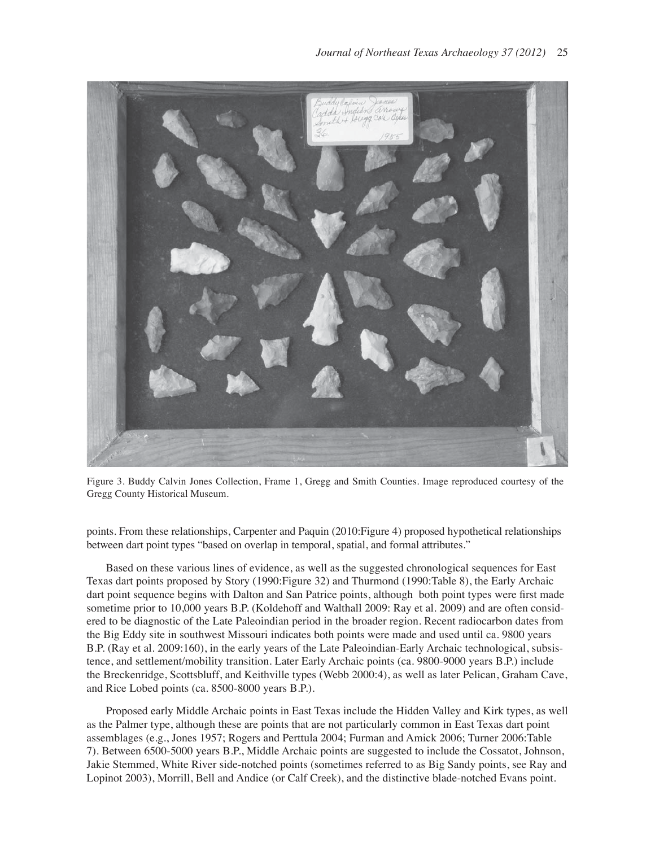

Figure 3. Buddy Calvin Jones Collection, Frame 1, Gregg and Smith Counties. Image reproduced courtesy of the Gregg County Historical Museum.

points. From these relationships, Carpenter and Paquin (2010:Figure 4) proposed hypothetical relationships between dart point types "based on overlap in temporal, spatial, and formal attributes."

Based on these various lines of evidence, as well as the suggested chronological sequences for East Texas dart points proposed by Story (1990:Figure 32) and Thurmond (1990:Table 8), the Early Archaic dart point sequence begins with Dalton and San Patrice points, although both point types were first made sometime prior to 10,000 years B.P. (Koldehoff and Walthall 2009: Ray et al. 2009) and are often considered to be diagnostic of the Late Paleoindian period in the broader region. Recent radiocarbon dates from the Big Eddy site in southwest Missouri indicates both points were made and used until ca. 9800 years B.P. (Ray et al. 2009:160), in the early years of the Late Paleoindian-Early Archaic technological, subsistence, and settlement/mobility transition. Later Early Archaic points (ca. 9800-9000 years B.P.) include the Breckenridge, Scottsbluff, and Keithville types (Webb 2000:4), as well as later Pelican, Graham Cave, and Rice Lobed points (ca. 8500-8000 years B.P.).

Proposed early Middle Archaic points in East Texas include the Hidden Valley and Kirk types, as well as the Palmer type, although these are points that are not particularly common in East Texas dart point assemblages (e.g., Jones 1957; Rogers and Perttula 2004; Furman and Amick 2006; Turner 2006:Table 7). Between 6500-5000 years B.P., Middle Archaic points are suggested to include the Cossatot, Johnson, Jakie Stemmed, White River side-notched points (sometimes referred to as Big Sandy points, see Ray and Lopinot 2003), Morrill, Bell and Andice (or Calf Creek), and the distinctive blade-notched Evans point.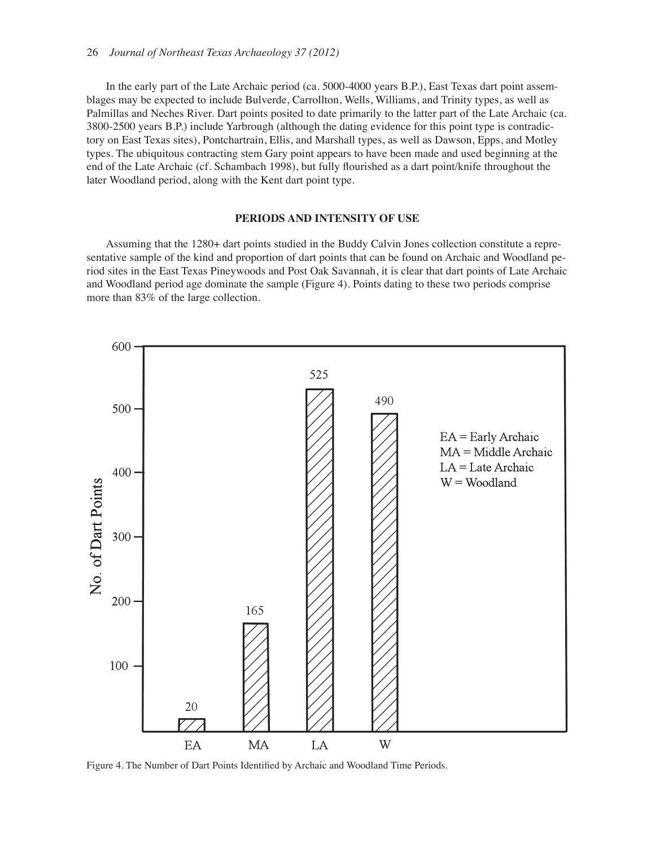In the early part of the Late Archaic period (ca. 5000-4000 years B.P.), East Texas dart point assemblages may be expected to include Bulverde, Carrollton, Wells, Williams, and Trinity types, as well as Palmillas and Neches River. Dart points posited to date primarily to the latter part of the Late Archaic (ca. 3800-2500 years B.P.) include Yarbrough (although the dating evidence for this point type is contradictory on East Texas sites), Pontchartrain, Ellis, and Marshall types, as well as Dawson, Epps, and Motley types. The ubiquitous contracting stem Gary point appears to have been made and used beginning at the end of the Late Archaic (cf. Schambach 1998), but fully flourished as a dart point/knife throughout the later Woodland period, along with the Kent dart point type.

#### **PERIODS AND INTENSITY OF USE**

Assuming that the 1280+ dart points studied in the Buddy Calvin Jones collection constitute a representative sample of the kind and proportion of dart points that can be found on Archaic and Woodland period sites in the East Texas Pineywoods and Post Oak Savannah, it is clear that dart points of Late Archaic and Woodland period age dominate the sample (Figure 4). Points dating to these two periods comprise more than 83% of the large collection.



Figure 4. The Number of Dart Points Identified by Archaic and Woodland Time Periods.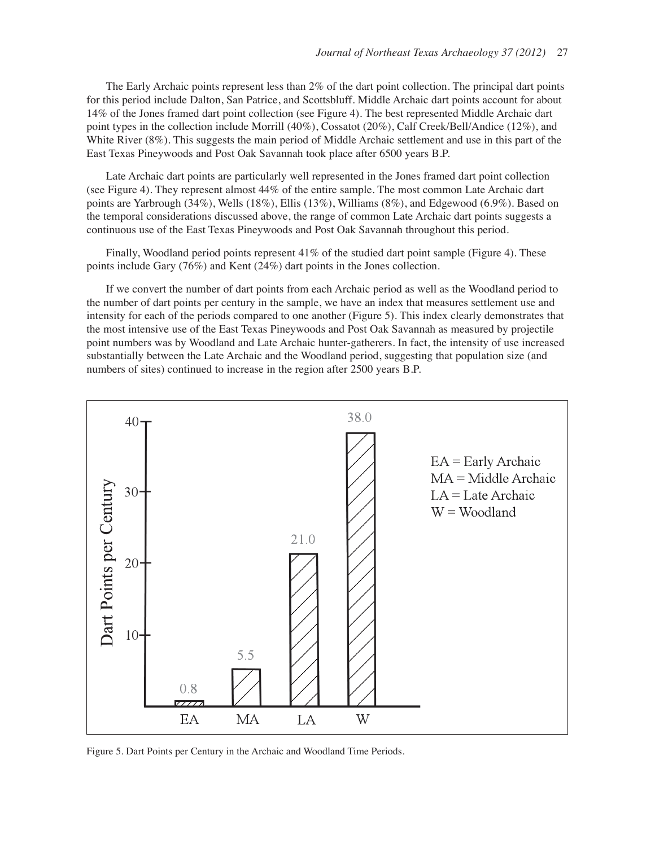The Early Archaic points represent less than 2% of the dart point collection. The principal dart points for this period include Dalton, San Patrice, and Scottsbluff. Middle Archaic dart points account for about 14% of the Jones framed dart point collection (see Figure 4). The best represented Middle Archaic dart point types in the collection include Morrill (40%), Cossatot (20%), Calf Creek/Bell/Andice (12%), and White River (8%). This suggests the main period of Middle Archaic settlement and use in this part of the East Texas Pineywoods and Post Oak Savannah took place after 6500 years B.P.

Late Archaic dart points are particularly well represented in the Jones framed dart point collection (see Figure 4). They represent almost 44% of the entire sample. The most common Late Archaic dart points are Yarbrough (34%), Wells (18%), Ellis (13%), Williams (8%), and Edgewood (6.9%). Based on the temporal considerations discussed above, the range of common Late Archaic dart points suggests a continuous use of the East Texas Pineywoods and Post Oak Savannah throughout this period.

Finally, Woodland period points represent 41% of the studied dart point sample (Figure 4). These points include Gary (76%) and Kent (24%) dart points in the Jones collection.

If we convert the number of dart points from each Archaic period as well as the Woodland period to the number of dart points per century in the sample, we have an index that measures settlement use and intensity for each of the periods compared to one another (Figure 5). This index clearly demonstrates that the most intensive use of the East Texas Pineywoods and Post Oak Savannah as measured by projectile point numbers was by Woodland and Late Archaic hunter-gatherers. In fact, the intensity of use increased substantially between the Late Archaic and the Woodland period, suggesting that population size (and numbers of sites) continued to increase in the region after 2500 years B.P.



Figure 5. Dart Points per Century in the Archaic and Woodland Time Periods.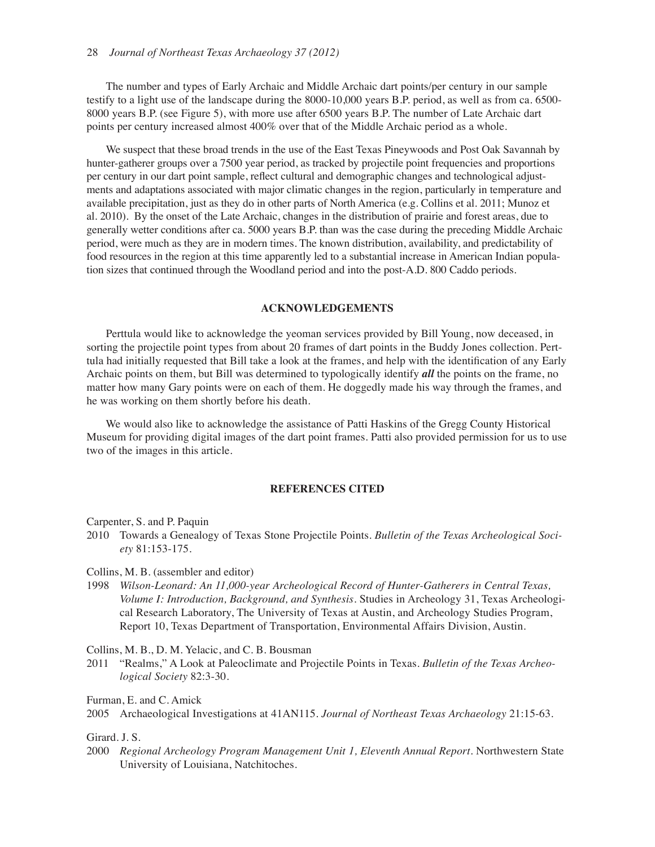The number and types of Early Archaic and Middle Archaic dart points/per century in our sample testify to a light use of the landscape during the 8000-10,000 years B.P. period, as well as from ca. 6500- 8000 years B.P. (see Figure 5), with more use after 6500 years B.P. The number of Late Archaic dart points per century increased almost 400% over that of the Middle Archaic period as a whole.

We suspect that these broad trends in the use of the East Texas Pineywoods and Post Oak Savannah by hunter-gatherer groups over a 7500 year period, as tracked by projectile point frequencies and proportions per century in our dart point sample, reflect cultural and demographic changes and technological adjustments and adaptations associated with major climatic changes in the region, particularly in temperature and available precipitation, just as they do in other parts of North America (e.g. Collins et al. 2011; Munoz et al. 2010). By the onset of the Late Archaic, changes in the distribution of prairie and forest areas, due to generally wetter conditions after ca. 5000 years B.P. than was the case during the preceding Middle Archaic period, were much as they are in modern times. The known distribution, availability, and predictability of food resources in the region at this time apparently led to a substantial increase in American Indian population sizes that continued through the Woodland period and into the post-A.D. 800 Caddo periods.

#### **ACKNOWLEDGEMENTS**

Perttula would like to acknowledge the yeoman services provided by Bill Young, now deceased, in sorting the projectile point types from about 20 frames of dart points in the Buddy Jones collection. Perttula had initially requested that Bill take a look at the frames, and help with the identification of any Early Archaic points on them, but Bill was determined to typologically identify *all* the points on the frame, no matter how many Gary points were on each of them. He doggedly made his way through the frames, and he was working on them shortly before his death.

We would also like to acknowledge the assistance of Patti Haskins of the Gregg County Historical Museum for providing digital images of the dart point frames. Patti also provided permission for us to use two of the images in this article.

#### **REFERENCES CITED**

Carpenter, S. and P. Paquin

2010 Towards a Genealogy of Texas Stone Projectile Points. *Bulletin of the Texas Archeological Society* 81:153-175.

Collins, M. B. (assembler and editor)

1998 *Wilson-Leonard: An 11,000-year Archeological Record of Hunter-Gatherers in Central Texas, Volume I: Introduction, Background, and Synthesis*. Studies in Archeology 31, Texas Archeological Research Laboratory, The University of Texas at Austin, and Archeology Studies Program, Report 10, Texas Department of Transportation, Environmental Affairs Division, Austin.

Collins, M. B., D. M. Yelacic, and C. B. Bousman

2011 "Realms," A Look at Paleoclimate and Projectile Points in Texas. *Bulletin of the Texas Archeological Society* 82:3-30.

Furman, E. and C. Amick

Girard. J. S.

2000 *Regional Archeology Program Management Unit 1, Eleventh Annual Report*. Northwestern State University of Louisiana, Natchitoches.

<sup>2005</sup> Archaeological Investigations at 41AN115. *Journal of Northeast Texas Archaeology* 21:15-63.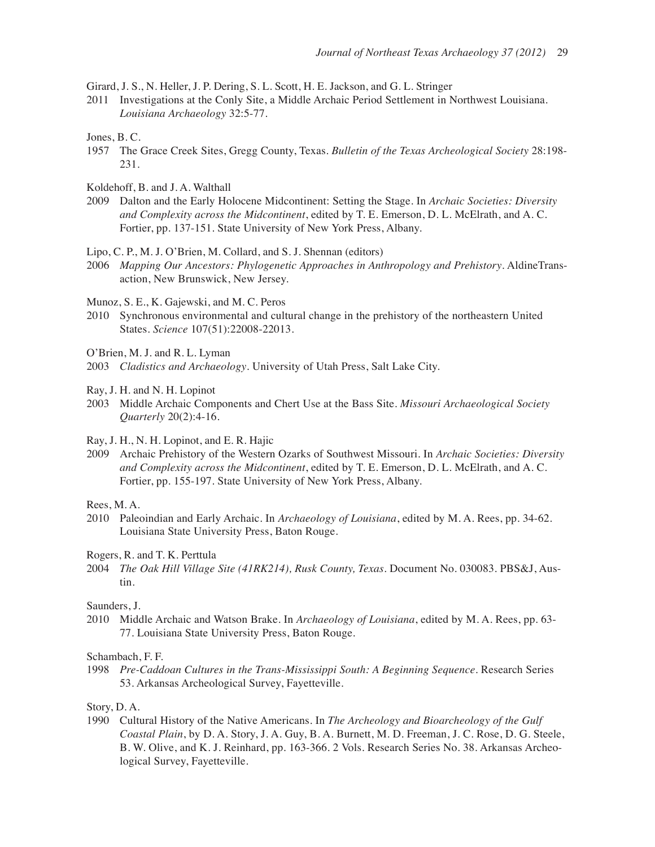Girard, J. S., N. Heller, J. P. Dering, S. L. Scott, H. E. Jackson, and G. L. Stringer

2011 Investigations at the Conly Site, a Middle Archaic Period Settlement in Northwest Louisiana. *Louisiana Archaeology* 32:5-77.

Jones, B. C.

- 1957 The Grace Creek Sites, Gregg County, Texas. *Bulletin of the Texas Archeological Society* 28:198- 231.
- Koldehoff, B. and J. A. Walthall
- 2009 Dalton and the Early Holocene Midcontinent: Setting the Stage. In *Archaic Societies: Diversity and Complexity across the Midcontinent*, edited by T. E. Emerson, D. L. McElrath, and A. C. Fortier, pp. 137-151. State University of New York Press, Albany.

Lipo, C. P., M. J. O'Brien, M. Collard, and S. J. Shennan (editors)

2006 *Mapping Our Ancestors: Phylogenetic Approaches in Anthropology and Prehistory*. AldineTransaction, New Brunswick, New Jersey.

Munoz, S. E., K. Gajewski, and M. C. Peros

- 2010 Synchronous environmental and cultural change in the prehistory of the northeastern United States. *Science* 107(51):22008-22013.
- O'Brien, M. J. and R. L. Lyman
- 2003 *Cladistics and Archaeology*. University of Utah Press, Salt Lake City.
- Ray, J. H. and N. H. Lopinot
- 2003 Middle Archaic Components and Chert Use at the Bass Site. *Missouri Archaeological Society Quarterly* 20(2):4-16.
- Ray, J. H., N. H. Lopinot, and E. R. Hajic
- 2009 Archaic Prehistory of the Western Ozarks of Southwest Missouri. In *Archaic Societies: Diversity and Complexity across the Midcontinent*, edited by T. E. Emerson, D. L. McElrath, and A. C. Fortier, pp. 155-197. State University of New York Press, Albany.
- Rees, M. A.
- 2010 Paleoindian and Early Archaic. In *Archaeology of Louisiana*, edited by M. A. Rees, pp. 34-62. Louisiana State University Press, Baton Rouge.

Rogers, R. and T. K. Perttula

2004 *The Oak Hill Village Site (41RK214), Rusk County, Texas*. Document No. 030083. PBS&J, Austin.

Saunders, J.

2010 Middle Archaic and Watson Brake. In *Archaeology of Louisiana*, edited by M. A. Rees, pp. 63- 77. Louisiana State University Press, Baton Rouge.

Schambach, F. F.

1998 *Pre-Caddoan Cultures in the Trans-Mississippi South: A Beginning Sequence*. Research Series 53. Arkansas Archeological Survey, Fayetteville.

Story, D. A.

1990 Cultural History of the Native Americans. In *The Archeology and Bioarcheology of the Gulf Coastal Plain*, by D. A. Story, J. A. Guy, B. A. Burnett, M. D. Freeman, J. C. Rose, D. G. Steele, B. W. Olive, and K. J. Reinhard, pp. 163-366. 2 Vols. Research Series No. 38. Arkansas Archeological Survey, Fayetteville.